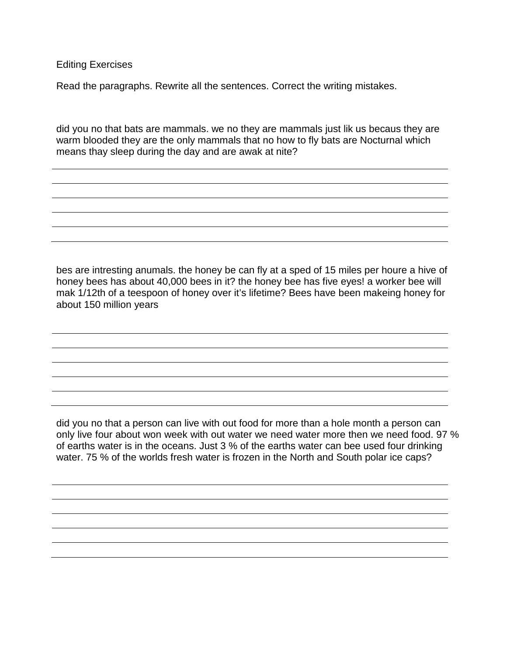Editing Exercises

Read the paragraphs. Rewrite all the sentences. Correct the writing mistakes.

did you no that bats are mammals. we no they are mammals just lik us becaus they are warm blooded they are the only mammals that no how to fly bats are Nocturnal which means thay sleep during the day and are awak at nite?

bes are intresting anumals. the honey be can fly at a sped of 15 miles per houre a hive of honey bees has about 40,000 bees in it? the honey bee has five eyes! a worker bee will mak 1/12th of a teespoon of honey over it's lifetime? Bees have been makeing honey for about 150 million years

did you no that a person can live with out food for more than a hole month a person can only live four about won week with out water we need water more then we need food. 97 % of earths water is in the oceans. Just 3 % of the earths water can bee used four drinking water. 75 % of the worlds fresh water is frozen in the North and South polar ice caps?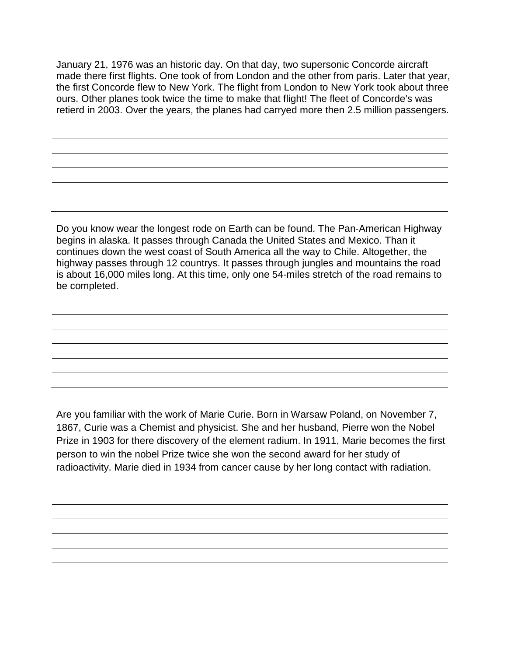January 21, 1976 was an historic day. On that day, two supersonic Concorde aircraft made there first flights. One took of from London and the other from paris. Later that year, the first Concorde flew to New York. The flight from London to New York took about three ours. Other planes took twice the time to make that flight! The fleet of Concorde's was retierd in 2003. Over the years, the planes had carryed more then 2.5 million passengers.

Do you know wear the longest rode on Earth can be found. The Pan-American Highway begins in alaska. It passes through Canada the United States and Mexico. Than it continues down the west coast of South America all the way to Chile. Altogether, the highway passes through 12 countrys. It passes through jungles and mountains the road is about 16,000 miles long. At this time, only one 54-miles stretch of the road remains to be completed.

Are you familiar with the work of Marie Curie. Born in Warsaw Poland, on November 7, 1867, Curie was a Chemist and physicist. She and her husband, Pierre won the Nobel Prize in 1903 for there discovery of the element radium. In 1911, Marie becomes the first person to win the nobel Prize twice she won the second award for her study of radioactivity. Marie died in 1934 from cancer cause by her long contact with radiation.